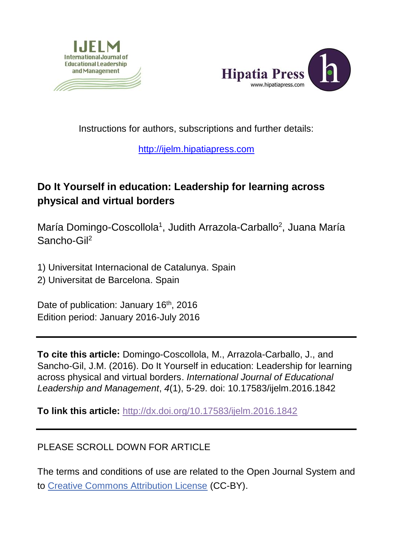



Instructions for authors, subscriptions and further details:

## [http://ijelm.hipatiapress.com](http://ijelm.hipatiapress.com/)

## **Do It Yourself in education: Leadership for learning across physical and virtual borders**

María Domingo-Coscollola<sup>1</sup>, Judith Arrazola-Carballo<sup>2</sup>, Juana María Sancho-Gil<sup>2</sup>

1) Universitat Internacional de Catalunya. Spain 2) Universitat de Barcelona. Spain

Date of publication: January 16<sup>th</sup>, 2016 Edition period: January 2016-July 2016

**To cite this article:** Domingo-Coscollola, M., Arrazola-Carballo, J., and Sancho-Gil, J.M. (2016). Do It Yourself in education: Leadership for learning across physical and virtual borders. *International Journal of Educational Leadership and Management*, *4*(1), 5-29. doi: 10.17583/ijelm.2016.1842

**To link this article:** <http://dx.doi.org/10.17583/ijelm.2016.1842>

## PLEASE SCROLL DOWN FOR ARTICLE

The terms and conditions of use are related to the Open Journal System and to Creative Commons Attribution License (CC-BY).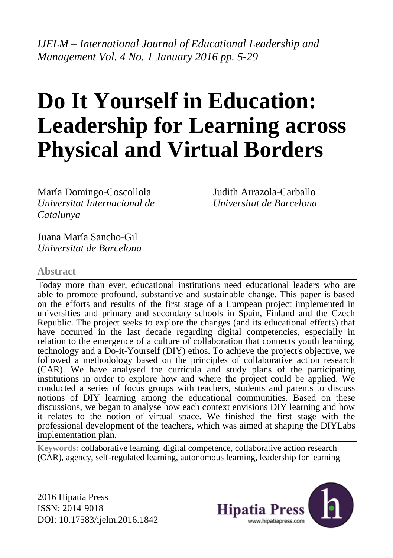*IJELM – International Journal of Educational Leadership and Management Vol. 4 No. 1 January 2016 pp. 5-29*

# **Do It Yourself in Education: Leadership for Learning across Physical and Virtual Borders**

María Domingo-Coscollola *Universitat Internacional de Catalunya*

Judith Arrazola-Carballo *Universitat de Barcelona*

Juana María Sancho-Gil *Universitat de Barcelona*

#### **Abstract**

Today more than ever, educational institutions need educational leaders who are able to promote profound, substantive and sustainable change. This paper is based on the efforts and results of the first stage of a European project implemented in universities and primary and secondary schools in Spain, Finland and the Czech Republic. The project seeks to explore the changes (and its educational effects) that have occurred in the last decade regarding digital competencies, especially in relation to the emergence of a culture of collaboration that connects youth learning, technology and a Do-it-Yourself (DIY) ethos. To achieve the project's objective, we followed a methodology based on the principles of collaborative action research (CAR). We have analysed the curricula and study plans of the participating institutions in order to explore how and where the project could be applied. We conducted a series of focus groups with teachers, students and parents to discuss notions of DIY learning among the educational communities. Based on these discussions, we began to analyse how each context envisions DIY learning and how it relates to the notion of virtual space. We finished the first stage with the professional development of the teachers, which was aimed at shaping the DIYLabs implementation plan.

**Keywords:** collaborative learning, digital competence, collaborative action research (CAR), agency, self-regulated learning, autonomous learning, leadership for learning

2016 Hipatia Press ISSN: 2014-9018 DOI: 10.17583/ijelm.2016.1842

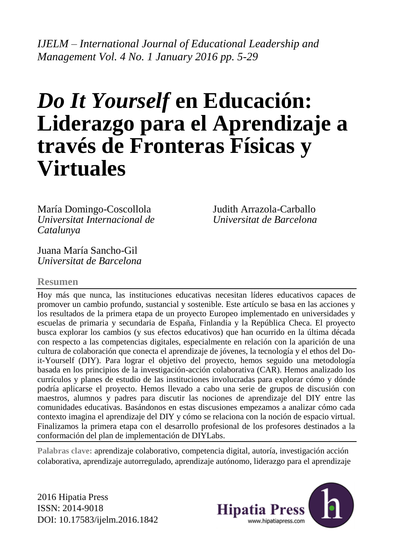*IJELM – International Journal of Educational Leadership and Management Vol. 4 No. 1 January 2016 pp. 5-29*

## *Do It Yourself* **en Educación: Liderazgo para el Aprendizaje a través de Fronteras Físicas y Virtuales**

María Domingo-Coscollola *Universitat Internacional de Catalunya*

Judith Arrazola-Carballo *Universitat de Barcelona*

Juana María Sancho-Gil *Universitat de Barcelona*

#### **Resumen**

Hoy más que nunca, las instituciones educativas necesitan líderes educativos capaces de promover un cambio profundo, sustancial y sostenible. Este artículo se basa en las acciones y los resultados de la primera etapa de un proyecto Europeo implementado en universidades y escuelas de primaria y secundaria de España, Finlandia y la República Checa. El proyecto busca explorar los cambios (y sus efectos educativos) que han ocurrido en la última década con respecto a las competencias digitales, especialmente en relación con la aparición de una cultura de colaboración que conecta el aprendizaje de jóvenes, la tecnología y el ethos del Doit-Yourself (DIY). Para lograr el objetivo del proyecto, hemos seguido una metodología basada en los principios de la investigación-acción colaborativa (CAR). Hemos analizado los currículos y planes de estudio de las instituciones involucradas para explorar cómo y dónde podría aplicarse el proyecto. Hemos llevado a cabo una serie de grupos de discusión con maestros, alumnos y padres para discutir las nociones de aprendizaje del DIY entre las comunidades educativas. Basándonos en estas discusiones empezamos a analizar cómo cada contexto imagina el aprendizaje del DIY y cómo se relaciona con la noción de espacio virtual. Finalizamos la primera etapa con el desarrollo profesional de los profesores destinados a la conformación del plan de implementación de DIYLabs.

**Palabras clave:** aprendizaje colaborativo, competencia digital, autoría, investigación acción colaborativa, aprendizaje autorregulado, aprendizaje autónomo, liderazgo para el aprendizaje

2016 Hipatia Press ISSN: 2014-9018 DOI: 10.17583/ijelm.2016.1842

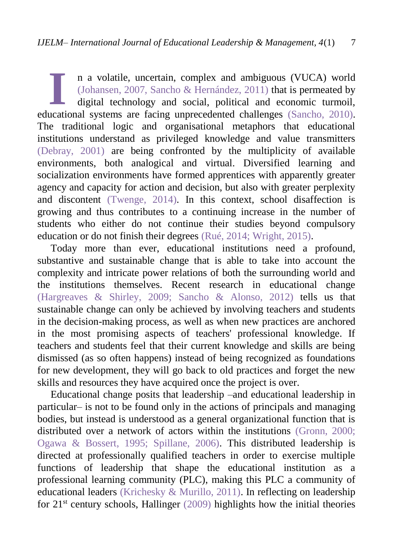n a volatile, uncertain, complex and ambiguous (VUCA) world [\(Johansen, 2007,](#page-23-0) [Sancho & Hernández, 2011\)](#page-24-0) that is permeated by digital technology and social, political and economic turmoil, In a volatile, uncertain, complex and ambiguous (VUCA) world (Johansen, 2007, Sancho & Hernández, 2011) that is permeated by digital technology and social, political and economic turmoil, educational systems are facing unp The traditional logic and organisational metaphors that educational institutions understand as privileged knowledge and value transmitters [\(Debray, 2001\)](#page-22-0) are being confronted by the multiplicity of available environments, both analogical and virtual. Diversified learning and socialization environments have formed apprentices with apparently greater agency and capacity for action and decision, but also with greater perplexity and discontent [\(Twenge, 2014\).](#page-25-0) In this context, school disaffection is growing and thus contributes to a continuing increase in the number of students who either do not continue their studies beyond compulsory education or do not finish their degrees [\(Rué, 2014;](#page-24-2) [Wright, 2015\).](#page-25-1)

Today more than ever, educational institutions need a profound, substantive and sustainable change that is able to take into account the complexity and intricate power relations of both the surrounding world and the institutions themselves. Recent research in educational change [\(Hargreaves & Shirley, 2009;](#page-22-1) [Sancho & Alonso, 2012\)](#page-24-3) tells us that sustainable change can only be achieved by involving teachers and students in the decision-making process, as well as when new practices are anchored in the most promising aspects of teachers' professional knowledge. If teachers and students feel that their current knowledge and skills are being dismissed (as so often happens) instead of being recognized as foundations for new development, they will go back to old practices and forget the new skills and resources they have acquired once the project is over.

Educational change posits that leadership –and educational leadership in particular– is not to be found only in the actions of principals and managing bodies, but instead is understood as a general organizational function that is distributed over a network of actors within the institutions [\(Gronn, 2000;](#page-22-2) [Ogawa & Bossert, 1995;](#page-24-4) [Spillane, 2006\).](#page-24-5) This distributed leadership is directed at professionally qualified teachers in order to exercise multiple functions of leadership that shape the educational institution as a professional learning community (PLC), making this PLC a community of educational leaders [\(Krichesky & Murillo, 2011\).](#page-23-1) In reflecting on leadership for  $21<sup>st</sup>$  century schools. Hallinger [\(2009\)](#page-22-3) highlights how the initial theories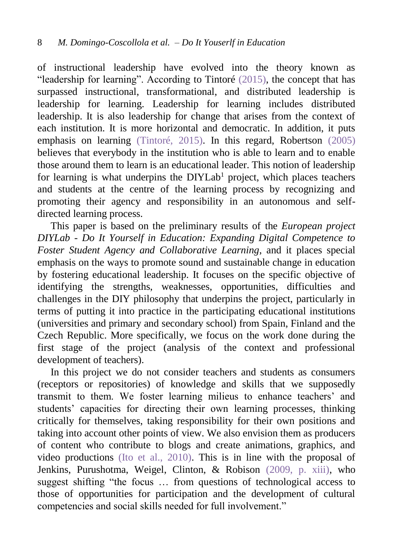of instructional leadership have evolved into the theory known as "leadership for learning". According to Tintoré  $(2015)$ , the concept that has surpassed instructional, transformational, and distributed leadership is leadership for learning. Leadership for learning includes distributed leadership. It is also leadership for change that arises from the context of each institution. It is more horizontal and democratic. In addition, it puts emphasis on learning [\(Tintoré, 2015\).](#page-25-2) In this regard, Robertson [\(2005\)](#page-24-6) believes that everybody in the institution who is able to learn and to enable those around them to learn is an educational leader. This notion of leadership for learning is what underpins the  $DIYLab<sup>1</sup>$  project, which places teachers and students at the centre of the learning process by recognizing and promoting their agency and responsibility in an autonomous and selfdirected learning process.

This paper is based on the preliminary results of the *European project DIYLab - Do It Yourself in Education: Expanding Digital Competence to Foster Student Agency and Collaborative Learning*, and it places special emphasis on the ways to promote sound and sustainable change in education by fostering educational leadership. It focuses on the specific objective of identifying the strengths, weaknesses, opportunities, difficulties and challenges in the DIY philosophy that underpins the project, particularly in terms of putting it into practice in the participating educational institutions (universities and primary and secondary school) from Spain, Finland and the Czech Republic. More specifically, we focus on the work done during the first stage of the project (analysis of the context and professional development of teachers).

In this project we do not consider teachers and students as consumers (receptors or repositories) of knowledge and skills that we supposedly transmit to them. We foster learning milieus to enhance teachers' and students' capacities for directing their own learning processes, thinking critically for themselves, taking responsibility for their own positions and taking into account other points of view. We also envision them as producers of content who contribute to blogs and create animations, graphics, and video productions [\(Ito et al., 2010\).](#page-22-4) This is in line with the proposal of Jenkins, Purushotma, Weigel, Clinton, & Robison [\(2009, p. xiii\),](#page-23-2) who suggest shifting "the focus … from questions of technological access to those of opportunities for participation and the development of cultural competencies and social skills needed for full involvement."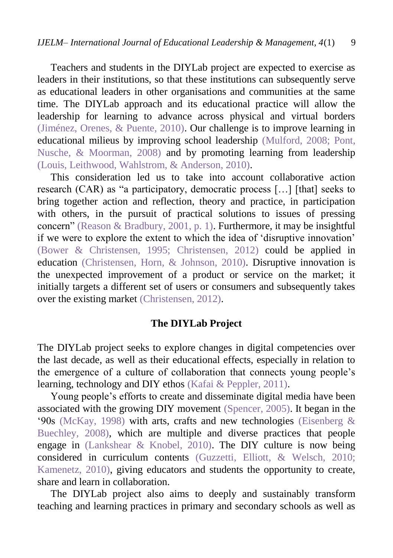Teachers and students in the DIYLab project are expected to exercise as leaders in their institutions, so that these institutions can subsequently serve as educational leaders in other organisations and communities at the same time. The DIYLab approach and its educational practice will allow the leadership for learning to advance across physical and virtual borders [\(Jiménez, Orenes, & Puente, 2010\).](#page-23-3) Our challenge is to improve learning in educational milieus by improving school leadership [\(Mulford, 2008;](#page-24-7) [Pont,](#page-24-8)  [Nusche, & Moorman, 2008\)](#page-24-8) and by promoting learning from leadership [\(Louis, Leithwood, Wahlstrom, & Anderson, 2010\).](#page-23-4)

This consideration led us to take into account collaborative action research (CAR) as "a participatory, democratic process […] [that] seeks to bring together action and reflection, theory and practice, in participation with others, in the pursuit of practical solutions to issues of pressing concern" [\(Reason & Bradbury, 2001, p. 1\).](#page-24-9) Furthermore, it may be insightful if we were to explore the extent to which the idea of 'disruptive innovation' [\(Bower & Christensen, 1995;](#page-21-0) [Christensen, 2012\)](#page-22-5) could be applied in education (Christensen, [Horn, & Johnson, 2010\).](#page-22-6) Disruptive innovation is the unexpected improvement of a product or service on the market; it initially targets a different set of users or consumers and subsequently takes over the existing market [\(Christensen, 2012\).](#page-22-5)

#### **The DIYLab Project**

The DIYLab project seeks to explore changes in digital competencies over the last decade, as well as their educational effects, especially in relation to the emergence of a culture of collaboration that connects young people's learning, technology and DIY ethos [\(Kafai & Peppler, 2011\).](#page-23-5)

Young people's efforts to create and disseminate digital media have been associated with the growing DIY movement [\(Spencer, 2005\).](#page-24-10) It began in the '90s [\(McKay, 1998\)](#page-23-6) with arts, crafts and new technologies [\(Eisenberg &](#page-22-7)  [Buechley, 2008\),](#page-22-7) which are multiple and diverse practices that people engage in [\(Lankshear & Knobel, 2010\).](#page-23-7) The DIY culture is now being considered in curriculum contents [\(Guzzetti, Elliott, & Welsch, 2010;](#page-22-8) [Kamenetz, 2010\),](#page-23-8) giving educators and students the opportunity to create, share and learn in collaboration.

The DIYLab project also aims to deeply and sustainably transform teaching and learning practices in primary and secondary schools as well as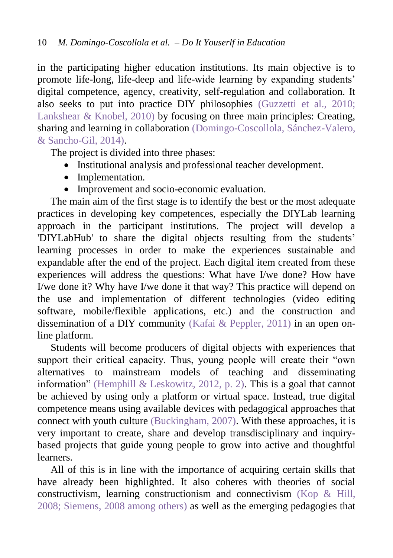in the participating higher education institutions. Its main objective is to promote life-long, life-deep and life-wide learning by expanding students' digital competence, agency, creativity, self-regulation and collaboration. It also seeks to put into practice DIY philosophies [\(Guzzetti et al., 2010;](#page-22-8) [Lankshear & Knobel, 2010\)](#page-23-7) by focusing on three main principles: Creating, sharing and learning in collaboration [\(Domingo-Coscollola, Sánchez-Valero,](#page-22-9)  [& Sancho-Gil, 2014\).](#page-22-9)

The project is divided into three phases:

- Institutional analysis and professional teacher development.
- Implementation.
- Improvement and socio-economic evaluation.

The main aim of the first stage is to identify the best or the most adequate practices in developing key competences, especially the DIYLab learning approach in the participant institutions. The project will develop a 'DIYLabHub' to share the digital objects resulting from the students' learning processes in order to make the experiences sustainable and expandable after the end of the project. Each digital item created from these experiences will address the questions: What have I/we done? How have I/we done it? Why have I/we done it that way? This practice will depend on the use and implementation of different technologies (video editing software, mobile/flexible applications, etc.) and the construction and dissemination of a DIY community [\(Kafai & Peppler, 2011\)](#page-23-5) in an open online platform.

Students will become producers of digital objects with experiences that support their critical capacity. Thus, young people will create their "own alternatives to mainstream models of teaching and disseminating information" [\(Hemphill & Leskowitz, 2012, p. 2\).](#page-22-10) This is a goal that cannot be achieved by using only a platform or virtual space. Instead, true digital competence means using available devices with pedagogical approaches that connect with youth culture [\(Buckingham, 2007\).](#page-22-11) With these approaches, it is very important to create, share and develop transdisciplinary and inquirybased projects that guide young people to grow into active and thoughtful learners.

All of this is in line with the importance of acquiring certain skills that have already been highlighted. It also coheres with theories of social constructivism, learning constructionism and connectivism [\(Kop &](#page-23-9) Hill, [2008;](#page-23-9) [Siemens, 2008 among others\)](#page-24-11) as well as the emerging pedagogies that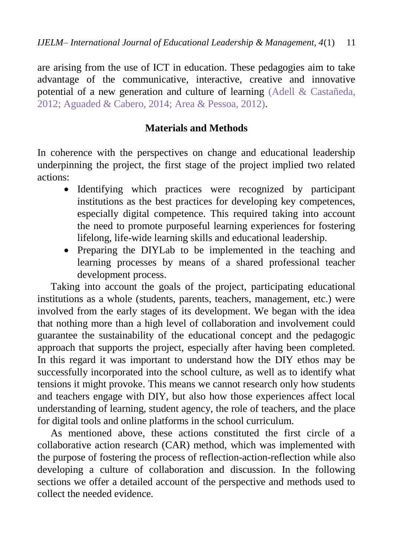are arising from the use of ICT in education. These pedagogies aim to take advantage of the communicative, interactive, creative and innovative potential of a new generation and culture of learning [\(Adell & Castañeda,](#page-21-1)  [2012;](#page-21-1) [Aguaded & Cabero, 2014;](#page-21-2) [Area & Pessoa, 2012\).](#page-21-3)

## **Materials and Methods**

In coherence with the perspectives on change and educational leadership underpinning the project, the first stage of the project implied two related actions:

- Identifying which practices were recognized by participant institutions as the best practices for developing key competences, especially digital competence. This required taking into account the need to promote purposeful learning experiences for fostering lifelong, life-wide learning skills and educational leadership.
- Preparing the DIYLab to be implemented in the teaching and learning processes by means of a shared professional teacher development process.

Taking into account the goals of the project, participating educational institutions as a whole (students, parents, teachers, management, etc.) were involved from the early stages of its development. We began with the idea that nothing more than a high level of collaboration and involvement could guarantee the sustainability of the educational concept and the pedagogic approach that supports the project, especially after having been completed. In this regard it was important to understand how the DIY ethos may be successfully incorporated into the school culture, as well as to identify what tensions it might provoke. This means we cannot research only how students and teachers engage with DIY, but also how those experiences affect local understanding of learning, student agency, the role of teachers, and the place for digital tools and online platforms in the school curriculum.

As mentioned above, these actions constituted the first circle of a collaborative action research (CAR) method, which was implemented with the purpose of fostering the process of reflection-action-reflection while also developing a culture of collaboration and discussion. In the following sections we offer a detailed account of the perspective and methods used to collect the needed evidence.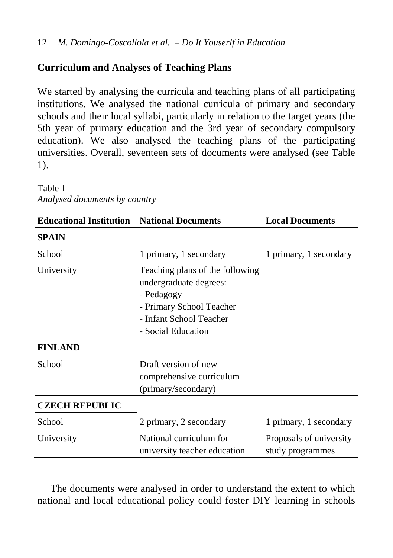## **Curriculum and Analyses of Teaching Plans**

We started by analysing the curricula and teaching plans of all participating institutions. We analysed the national curricula of primary and secondary schools and their local syllabi, particularly in relation to the target years (the 5th year of primary education and the 3rd year of secondary compulsory education). We also analysed the teaching plans of the participating universities. Overall, seventeen sets of documents were analysed (see Table 1).

Table 1 *Analysed documents by country*

| <b>Educational Institution</b> National Documents |                                                                                                                                                      | <b>Local Documents</b>                      |  |
|---------------------------------------------------|------------------------------------------------------------------------------------------------------------------------------------------------------|---------------------------------------------|--|
| <b>SPAIN</b>                                      |                                                                                                                                                      |                                             |  |
| School                                            | 1 primary, 1 secondary                                                                                                                               | 1 primary, 1 secondary                      |  |
| University                                        | Teaching plans of the following<br>undergraduate degrees:<br>- Pedagogy<br>- Primary School Teacher<br>- Infant School Teacher<br>- Social Education |                                             |  |
| <b>FINLAND</b>                                    |                                                                                                                                                      |                                             |  |
| School                                            | Draft version of new<br>comprehensive curriculum<br>(primary/secondary)                                                                              |                                             |  |
| <b>CZECH REPUBLIC</b>                             |                                                                                                                                                      |                                             |  |
| School                                            | 2 primary, 2 secondary                                                                                                                               | 1 primary, 1 secondary                      |  |
| University                                        | National curriculum for<br>university teacher education                                                                                              | Proposals of university<br>study programmes |  |

The documents were analysed in order to understand the extent to which national and local educational policy could foster DIY learning in schools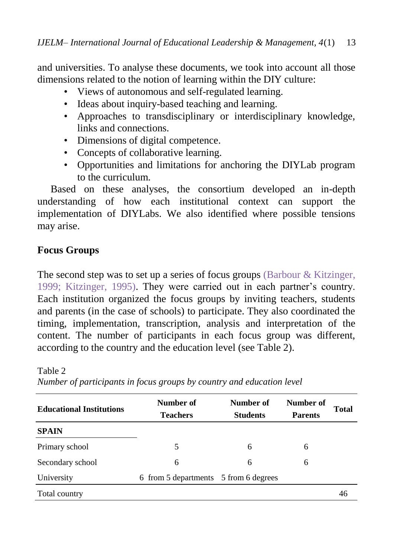and universities. To analyse these documents, we took into account all those dimensions related to the notion of learning within the DIY culture:

- Views of autonomous and self-regulated learning.
- Ideas about inquiry-based teaching and learning.
- Approaches to transdisciplinary or interdisciplinary knowledge, links and connections.
- Dimensions of digital competence.
- Concepts of collaborative learning.
- Opportunities and limitations for anchoring the DIYLab program to the curriculum.

Based on these analyses, the consortium developed an in-depth understanding of how each institutional context can support the implementation of DIYLabs. We also identified where possible tensions may arise.

## **Focus Groups**

Table 2

The second step was to set up a series of focus groups (Barbour  $\&$  Kitzinger, [1999;](#page-21-4) [Kitzinger, 1995\).](#page-23-10) They were carried out in each partner's country. Each institution organized the focus groups by inviting teachers, students and parents (in the case of schools) to participate. They also coordinated the timing, implementation, transcription, analysis and interpretation of the content. The number of participants in each focus group was different, according to the country and the education level (see Table 2).

| <b>Educational Institutions</b> | Number of<br><b>Teachers</b>          | Number of<br><b>Students</b> | Number of<br><b>Parents</b> | Total |
|---------------------------------|---------------------------------------|------------------------------|-----------------------------|-------|
| <b>SPAIN</b>                    |                                       |                              |                             |       |
| Primary school                  | 5                                     | 6                            | 6                           |       |
| Secondary school                | 6                                     | 6                            | 6                           |       |
| University                      | 6 from 5 departments 5 from 6 degrees |                              |                             |       |
| Total country                   |                                       |                              |                             | 46    |

*Number of participants in focus groups by country and education level*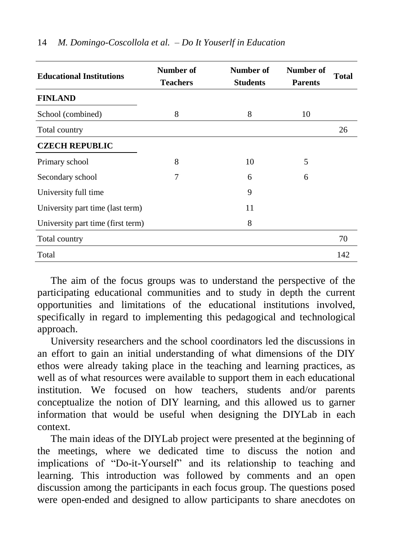| <b>Educational Institutions</b>   | Number of<br><b>Teachers</b> | Number of<br><b>Students</b> | Number of<br><b>Parents</b> | Total |
|-----------------------------------|------------------------------|------------------------------|-----------------------------|-------|
| <b>FINLAND</b>                    |                              |                              |                             |       |
| School (combined)                 | 8                            | 8                            | 10                          |       |
| Total country                     |                              |                              |                             | 26    |
| <b>CZECH REPUBLIC</b>             |                              |                              |                             |       |
| Primary school                    | 8                            | 10                           | 5                           |       |
| Secondary school                  | 7                            | 6                            | 6                           |       |
| University full time              |                              | 9                            |                             |       |
| University part time (last term)  |                              | 11                           |                             |       |
| University part time (first term) |                              | 8                            |                             |       |
| Total country                     |                              |                              |                             | 70    |
| Total                             |                              |                              |                             | 142   |

#### 14 *M. Domingo-Coscollola et al. – Do It Youserlf in Education*

The aim of the focus groups was to understand the perspective of the participating educational communities and to study in depth the current opportunities and limitations of the educational institutions involved, specifically in regard to implementing this pedagogical and technological approach.

University researchers and the school coordinators led the discussions in an effort to gain an initial understanding of what dimensions of the DIY ethos were already taking place in the teaching and learning practices, as well as of what resources were available to support them in each educational institution. We focused on how teachers, students and/or parents conceptualize the notion of DIY learning, and this allowed us to garner information that would be useful when designing the DIYLab in each context.

The main ideas of the DIYLab project were presented at the beginning of the meetings, where we dedicated time to discuss the notion and implications of "Do-it-Yourself" and its relationship to teaching and learning. This introduction was followed by comments and an open discussion among the participants in each focus group. The questions posed were open-ended and designed to allow participants to share anecdotes on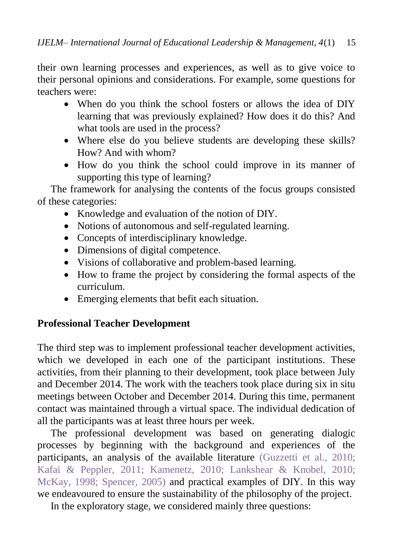their own learning processes and experiences, as well as to give voice to their personal opinions and considerations. For example, some questions for teachers were:

- When do you think the school fosters or allows the idea of DIY learning that was previously explained? How does it do this? And what tools are used in the process?
- Where else do you believe students are developing these skills? How? And with whom?
- How do you think the school could improve in its manner of supporting this type of learning?

The framework for analysing the contents of the focus groups consisted of these categories:

- Knowledge and evaluation of the notion of DIY.
- Notions of autonomous and self-regulated learning.
- Concepts of interdisciplinary knowledge.
- Dimensions of digital competence.
- Visions of collaborative and problem-based learning.
- How to frame the project by considering the formal aspects of the curriculum.
- Emerging elements that befit each situation.

## **Professional Teacher Development**

The third step was to implement professional teacher development activities, which we developed in each one of the participant institutions. These activities, from their planning to their development, took place between July and December 2014. The work with the teachers took place during six in situ meetings between October and December 2014. During this time, permanent contact was maintained through a virtual space. The individual dedication of all the participants was at least three hours per week.

The professional development was based on generating dialogic processes by beginning with the background and experiences of the participants, an analysis of the available literature [\(Guzzetti et al., 2010;](#page-22-8) [Kafai & Peppler, 2011;](#page-23-5) [Kamenetz, 2010;](#page-23-8) [Lankshear & Knobel, 2010;](#page-23-7) [McKay, 1998;](#page-23-6) [Spencer, 2005\)](#page-24-10) and practical examples of DIY. In this way we endeavoured to ensure the sustainability of the philosophy of the project.

In the exploratory stage, we considered mainly three questions: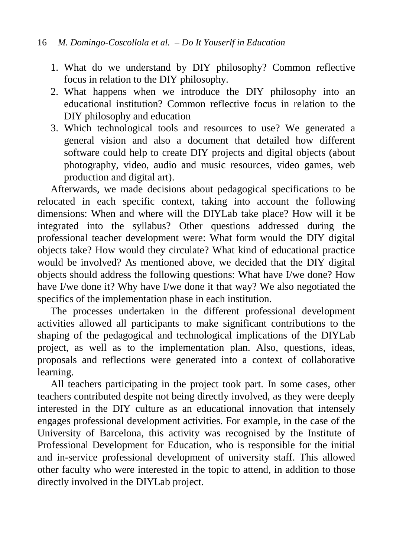- 1. What do we understand by DIY philosophy? Common reflective focus in relation to the DIY philosophy.
- 2. What happens when we introduce the DIY philosophy into an educational institution? Common reflective focus in relation to the DIY philosophy and education
- 3. Which technological tools and resources to use? We generated a general vision and also a document that detailed how different software could help to create DIY projects and digital objects (about photography, video, audio and music resources, video games, web production and digital art).

Afterwards, we made decisions about pedagogical specifications to be relocated in each specific context, taking into account the following dimensions: When and where will the DIYLab take place? How will it be integrated into the syllabus? Other questions addressed during the professional teacher development were: What form would the DIY digital objects take? How would they circulate? What kind of educational practice would be involved? As mentioned above, we decided that the DIY digital objects should address the following questions: What have I/we done? How have I/we done it? Why have I/we done it that way? We also negotiated the specifics of the implementation phase in each institution.

The processes undertaken in the different professional development activities allowed all participants to make significant contributions to the shaping of the pedagogical and technological implications of the DIYLab project, as well as to the implementation plan. Also, questions, ideas, proposals and reflections were generated into a context of collaborative learning.

All teachers participating in the project took part. In some cases, other teachers contributed despite not being directly involved, as they were deeply interested in the DIY culture as an educational innovation that intensely engages professional development activities. For example, in the case of the University of Barcelona, this activity was recognised by the Institute of Professional Development for Education, who is responsible for the initial and in-service professional development of university staff. This allowed other faculty who were interested in the topic to attend, in addition to those directly involved in the DIYLab project.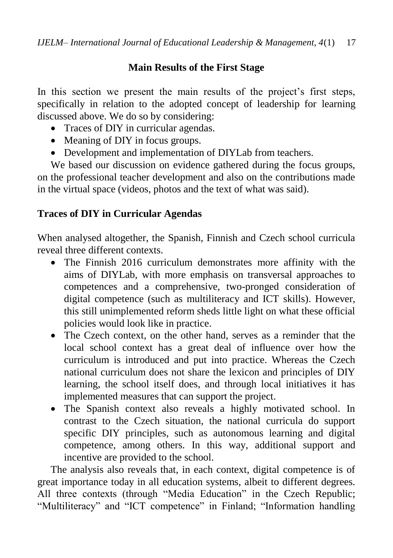## **Main Results of the First Stage**

In this section we present the main results of the project's first steps, specifically in relation to the adopted concept of leadership for learning discussed above. We do so by considering:

- Traces of DIY in curricular agendas.
- Meaning of DIY in focus groups.
- Development and implementation of DIYLab from teachers.

We based our discussion on evidence gathered during the focus groups, on the professional teacher development and also on the contributions made in the virtual space (videos, photos and the text of what was said).

## **Traces of DIY in Curricular Agendas**

When analysed altogether, the Spanish, Finnish and Czech school curricula reveal three different contexts.

- The Finnish 2016 curriculum demonstrates more affinity with the aims of DIYLab, with more emphasis on transversal approaches to competences and a comprehensive, two-pronged consideration of digital competence (such as multiliteracy and ICT skills). However, this still unimplemented reform sheds little light on what these official policies would look like in practice.
- The Czech context, on the other hand, serves as a reminder that the local school context has a great deal of influence over how the curriculum is introduced and put into practice. Whereas the Czech national curriculum does not share the lexicon and principles of DIY learning, the school itself does, and through local initiatives it has implemented measures that can support the project.
- The Spanish context also reveals a highly motivated school. In contrast to the Czech situation, the national curricula do support specific DIY principles, such as autonomous learning and digital competence, among others. In this way, additional support and incentive are provided to the school.

The analysis also reveals that, in each context, digital competence is of great importance today in all education systems, albeit to different degrees. All three contexts (through "Media Education" in the Czech Republic; "Multiliteracy" and "ICT competence" in Finland; "Information handling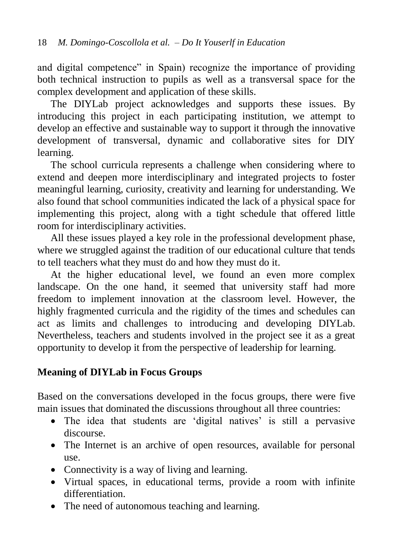and digital competence" in Spain) recognize the importance of providing both technical instruction to pupils as well as a transversal space for the complex development and application of these skills.

The DIYLab project acknowledges and supports these issues. By introducing this project in each participating institution, we attempt to develop an effective and sustainable way to support it through the innovative development of transversal, dynamic and collaborative sites for DIY learning.

The school curricula represents a challenge when considering where to extend and deepen more interdisciplinary and integrated projects to foster meaningful learning, curiosity, creativity and learning for understanding. We also found that school communities indicated the lack of a physical space for implementing this project, along with a tight schedule that offered little room for interdisciplinary activities.

All these issues played a key role in the professional development phase, where we struggled against the tradition of our educational culture that tends to tell teachers what they must do and how they must do it.

At the higher educational level, we found an even more complex landscape. On the one hand, it seemed that university staff had more freedom to implement innovation at the classroom level. However, the highly fragmented curricula and the rigidity of the times and schedules can act as limits and challenges to introducing and developing DIYLab. Nevertheless, teachers and students involved in the project see it as a great opportunity to develop it from the perspective of leadership for learning.

## **Meaning of DIYLab in Focus Groups**

Based on the conversations developed in the focus groups, there were five main issues that dominated the discussions throughout all three countries:

- The idea that students are 'digital natives' is still a pervasive discourse.
- The Internet is an archive of open resources, available for personal use.
- Connectivity is a way of living and learning.
- Virtual spaces, in educational terms, provide a room with infinite differentiation.
- The need of autonomous teaching and learning.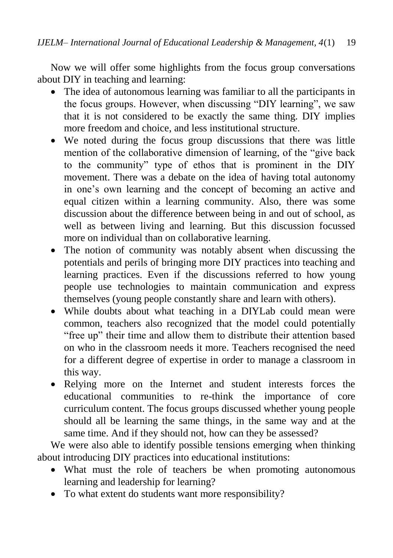Now we will offer some highlights from the focus group conversations about DIY in teaching and learning:

- The idea of autonomous learning was familiar to all the participants in the focus groups. However, when discussing "DIY learning", we saw that it is not considered to be exactly the same thing. DIY implies more freedom and choice, and less institutional structure.
- We noted during the focus group discussions that there was little mention of the collaborative dimension of learning, of the "give back to the community" type of ethos that is prominent in the DIY movement. There was a debate on the idea of having total autonomy in one's own learning and the concept of becoming an active and equal citizen within a learning community. Also, there was some discussion about the difference between being in and out of school, as well as between living and learning. But this discussion focussed more on individual than on collaborative learning.
- The notion of community was notably absent when discussing the potentials and perils of bringing more DIY practices into teaching and learning practices. Even if the discussions referred to how young people use technologies to maintain communication and express themselves (young people constantly share and learn with others).
- While doubts about what teaching in a DIYLab could mean were common, teachers also recognized that the model could potentially "free up" their time and allow them to distribute their attention based on who in the classroom needs it more. Teachers recognised the need for a different degree of expertise in order to manage a classroom in this way.
- Relying more on the Internet and student interests forces the educational communities to re-think the importance of core curriculum content. The focus groups discussed whether young people should all be learning the same things, in the same way and at the same time. And if they should not, how can they be assessed?

We were also able to identify possible tensions emerging when thinking about introducing DIY practices into educational institutions:

- What must the role of teachers be when promoting autonomous learning and leadership for learning?
- To what extent do students want more responsibility?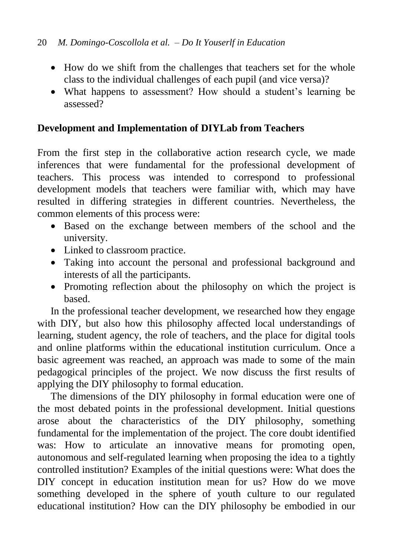- How do we shift from the challenges that teachers set for the whole class to the individual challenges of each pupil (and vice versa)?
- What happens to assessment? How should a student's learning be assessed?

## **Development and Implementation of DIYLab from Teachers**

From the first step in the collaborative action research cycle, we made inferences that were fundamental for the professional development of teachers. This process was intended to correspond to professional development models that teachers were familiar with, which may have resulted in differing strategies in different countries. Nevertheless, the common elements of this process were:

- Based on the exchange between members of the school and the university.
- Linked to classroom practice.
- Taking into account the personal and professional background and interests of all the participants.
- Promoting reflection about the philosophy on which the project is based.

In the professional teacher development, we researched how they engage with DIY, but also how this philosophy affected local understandings of learning, student agency, the role of teachers, and the place for digital tools and online platforms within the educational institution curriculum. Once a basic agreement was reached, an approach was made to some of the main pedagogical principles of the project. We now discuss the first results of applying the DIY philosophy to formal education.

The dimensions of the DIY philosophy in formal education were one of the most debated points in the professional development. Initial questions arose about the characteristics of the DIY philosophy, something fundamental for the implementation of the project. The core doubt identified was: How to articulate an innovative means for promoting open, autonomous and self-regulated learning when proposing the idea to a tightly controlled institution? Examples of the initial questions were: What does the DIY concept in education institution mean for us? How do we move something developed in the sphere of youth culture to our regulated educational institution? How can the DIY philosophy be embodied in our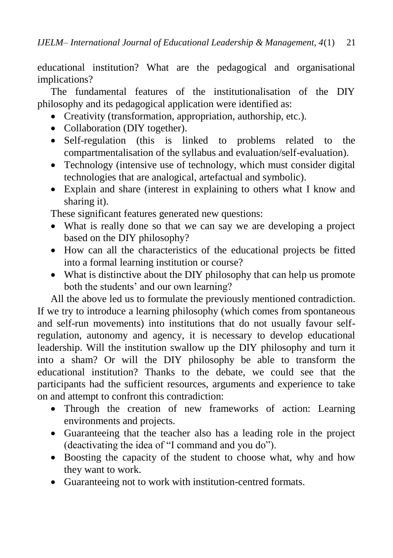educational institution? What are the pedagogical and organisational implications?

The fundamental features of the institutionalisation of the DIY philosophy and its pedagogical application were identified as:

- Creativity (transformation, appropriation, authorship, etc.).
- Collaboration (DIY together).
- Self-regulation (this is linked to problems related to the compartmentalisation of the syllabus and evaluation/self-evaluation).
- Technology (intensive use of technology, which must consider digital technologies that are analogical, artefactual and symbolic).
- Explain and share (interest in explaining to others what I know and sharing it).

These significant features generated new questions:

- What is really done so that we can say we are developing a project based on the DIY philosophy?
- How can all the characteristics of the educational projects be fitted into a formal learning institution or course?
- What is distinctive about the DIY philosophy that can help us promote both the students' and our own learning?

All the above led us to formulate the previously mentioned contradiction. If we try to introduce a learning philosophy (which comes from spontaneous and self-run movements) into institutions that do not usually favour selfregulation, autonomy and agency, it is necessary to develop educational leadership. Will the institution swallow up the DIY philosophy and turn it into a sham? Or will the DIY philosophy be able to transform the educational institution? Thanks to the debate, we could see that the participants had the sufficient resources, arguments and experience to take on and attempt to confront this contradiction:

- Through the creation of new frameworks of action: Learning environments and projects.
- Guaranteeing that the teacher also has a leading role in the project (deactivating the idea of "I command and you do").
- Boosting the capacity of the student to choose what, why and how they want to work.
- Guaranteeing not to work with institution-centred formats.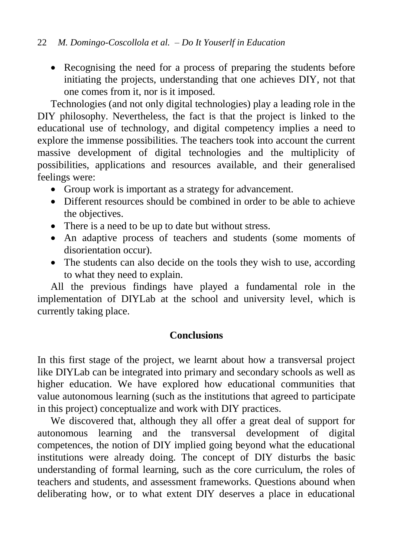• Recognising the need for a process of preparing the students before initiating the projects, understanding that one achieves DIY, not that one comes from it, nor is it imposed.

Technologies (and not only digital technologies) play a leading role in the DIY philosophy. Nevertheless, the fact is that the project is linked to the educational use of technology, and digital competency implies a need to explore the immense possibilities. The teachers took into account the current massive development of digital technologies and the multiplicity of possibilities, applications and resources available, and their generalised feelings were:

- Group work is important as a strategy for advancement.
- Different resources should be combined in order to be able to achieve the objectives.
- There is a need to be up to date but without stress.
- An adaptive process of teachers and students (some moments of disorientation occur).
- The students can also decide on the tools they wish to use, according to what they need to explain.

All the previous findings have played a fundamental role in the implementation of DIYLab at the school and university level, which is currently taking place.

## **Conclusions**

In this first stage of the project, we learnt about how a transversal project like DIYLab can be integrated into primary and secondary schools as well as higher education. We have explored how educational communities that value autonomous learning (such as the institutions that agreed to participate in this project) conceptualize and work with DIY practices.

We discovered that, although they all offer a great deal of support for autonomous learning and the transversal development of digital competences, the notion of DIY implied going beyond what the educational institutions were already doing. The concept of DIY disturbs the basic understanding of formal learning, such as the core curriculum, the roles of teachers and students, and assessment frameworks. Questions abound when deliberating how, or to what extent DIY deserves a place in educational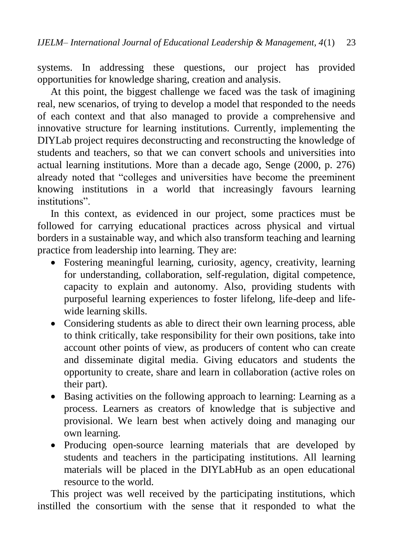systems. In addressing these questions, our project has provided opportunities for knowledge sharing, creation and analysis.

At this point, the biggest challenge we faced was the task of imagining real, new scenarios, of trying to develop a model that responded to the needs of each context and that also managed to provide a comprehensive and innovative structure for learning institutions. Currently, implementing the DIYLab project requires deconstructing and reconstructing the knowledge of students and teachers, so that we can convert schools and universities into actual learning institutions. More than a decade ago, Senge (2000, p. 276) already noted that "colleges and universities have become the preeminent knowing institutions in a world that increasingly favours learning institutions".

In this context, as evidenced in our project, some practices must be followed for carrying educational practices across physical and virtual borders in a sustainable way, and which also transform teaching and learning practice from leadership into learning. They are:

- Fostering meaningful learning, curiosity, agency, creativity, learning for understanding, collaboration, self-regulation, digital competence, capacity to explain and autonomy. Also, providing students with purposeful learning experiences to foster lifelong, life-deep and lifewide learning skills.
- Considering students as able to direct their own learning process, able to think critically, take responsibility for their own positions, take into account other points of view, as producers of content who can create and disseminate digital media. Giving educators and students the opportunity to create, share and learn in collaboration (active roles on their part).
- Basing activities on the following approach to learning: Learning as a process. Learners as creators of knowledge that is subjective and provisional. We learn best when actively doing and managing our own learning.
- Producing open-source learning materials that are developed by students and teachers in the participating institutions. All learning materials will be placed in the DIYLabHub as an open educational resource to the world.

This project was well received by the participating institutions, which instilled the consortium with the sense that it responded to what the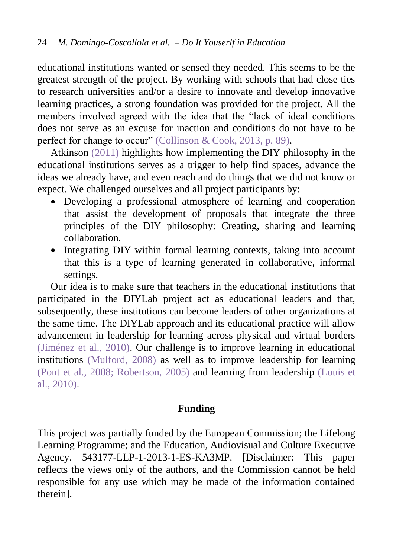educational institutions wanted or sensed they needed. This seems to be the greatest strength of the project. By working with schools that had close ties to research universities and/or a desire to innovate and develop innovative learning practices, a strong foundation was provided for the project. All the members involved agreed with the idea that the "lack of ideal conditions does not serve as an excuse for inaction and conditions do not have to be perfect for change to occur" [\(Collinson & Cook, 2013, p. 89\).](#page-22-12)

Atkinson [\(2011\)](#page-21-5) highlights how implementing the DIY philosophy in the educational institutions serves as a trigger to help find spaces, advance the ideas we already have, and even reach and do things that we did not know or expect. We challenged ourselves and all project participants by:

- Developing a professional atmosphere of learning and cooperation that assist the development of proposals that integrate the three principles of the DIY philosophy: Creating, sharing and learning collaboration.
- Integrating DIY within formal learning contexts, taking into account that this is a type of learning generated in collaborative, informal settings.

Our idea is to make sure that teachers in the educational institutions that participated in the DIYLab project act as educational leaders and that, subsequently, these institutions can become leaders of other organizations at the same time. The DIYLab approach and its educational practice will allow advancement in leadership for learning across physical and virtual borders [\(Jiménez et al., 2010\).](#page-23-3) Our challenge is to improve learning in educational institutions [\(Mulford, 2008\)](#page-24-7) as well as to improve leadership for learning [\(Pont et al., 2008;](#page-24-8) [Robertson, 2005\)](#page-24-6) and learning from leadership [\(Louis et](#page-23-4)  [al., 2010\).](#page-23-4)

## **Funding**

This project was partially funded by the European Commission; the Lifelong Learning Programme; and the Education, Audiovisual and Culture Executive Agency. 543177-LLP-1-2013-1-ES-KA3MP. [Disclaimer: This paper reflects the views only of the authors, and the Commission cannot be held responsible for any use which may be made of the information contained therein].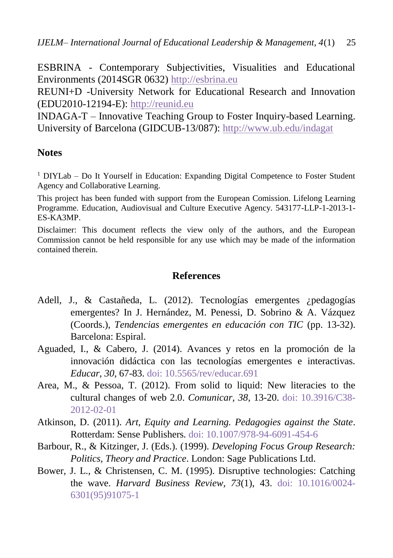ESBRINA - Contemporary Subjectivities, Visualities and Educational Environments (2014SGR 0632) [http://esbrina.eu](http://esbrina.eu/)

REUNI+D -University Network for Educational Research and Innovation (EDU2010-12194-E): [http://reunid.eu](http://reunid.eu/)

INDAGA-T – Innovative Teaching Group to Foster Inquiry-based Learning. University of Barcelona (GIDCUB-13/087):<http://www.ub.edu/indagat>

#### **Notes**

<sup>1</sup> DIYLab – Do It Yourself in Education: Expanding Digital Competence to Foster Student Agency and Collaborative Learning.

This project has been funded with support from the European Comission. Lifelong Learning Programme. Education, Audiovisual and Culture Executive Agency. 543177-LLP-1-2013-1- ES-KA3MP.

Disclaimer: This document reflects the view only of the authors, and the European Commission cannot be held responsible for any use which may be made of the information contained therein.

### **References**

- <span id="page-21-1"></span>Adell, J., & Castañeda, L. (2012). Tecnologías emergentes ¿pedagogías emergentes? In J. Hernández, M. Penessi, D. Sobrino & A. Vázquez (Coords.), *Tendencias emergentes en educación con TIC* (pp. 13-32). Barcelona: Espiral.
- <span id="page-21-2"></span>Aguaded, I., & Cabero, J. (2014). Avances y retos en la promoción de la innovación didáctica con las tecnologías emergentes e interactivas. *Educar*, *30*, 67-83. doi: [10.5565/rev/educar.691](http://dx.doi.org/10.5565/rev/educar.691)
- <span id="page-21-3"></span>Area, M., & Pessoa, T. (2012). From solid to liquid: New literacies to the cultural changes of web 2.0. *Comunicar, 38*, 13-20. doi: [10.3916/C38-](http://dx.doi.org/10.3916/C38-2012-02-01) [2012-02-01](http://dx.doi.org/10.3916/C38-2012-02-01)
- <span id="page-21-5"></span>Atkinson, D. (2011). *Art, Equity and Learning. Pedagogies against the State*. Rotterdam: Sense Publishers. doi: [10.1007/978-94-6091-454-6](http://dx.doi.org/10.1007/978-94-6091-454-6)
- <span id="page-21-4"></span>Barbour, R., & Kitzinger, J. (Eds.). (1999). *Developing Focus Group Research: Politics, Theory and Practice*. London: Sage Publications Ltd.
- <span id="page-21-0"></span>Bower, J. L., & Christensen, C. M. (1995). Disruptive technologies: Catching the wave. *Harvard Business Review, 73*(1), 43. doi: [10.1016/0024-](http://dx.doi.org/10.1016/0024-6301(95)91075-1) [6301\(95\)91075-1](http://dx.doi.org/10.1016/0024-6301(95)91075-1)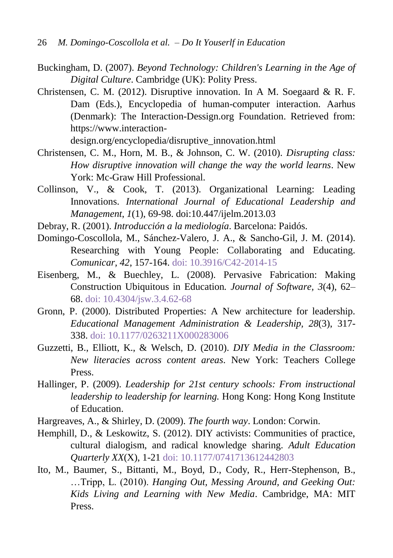- <span id="page-22-11"></span>Buckingham, D. (2007). *Beyond Technology: Children's Learning in the Age of Digital Culture*. Cambridge (UK): Polity Press.
- <span id="page-22-5"></span>Christensen, C. M. (2012). Disruptive innovation. In A M. Soegaard & R. F. Dam (Eds.), Encyclopedia of human-computer interaction. Aarhus (Denmark): The Interaction-Dessign.org Foundation. Retrieved from: https://www.interaction-

design.org/encyclopedia/disruptive\_innovation.html

- <span id="page-22-6"></span>Christensen, C. M., Horn, M. B., & Johnson, C. W. (2010). *Disrupting class: How disruptive innovation will change the way the world learns*. New York: Mc-Graw Hill Professional.
- <span id="page-22-12"></span>Collinson, V., & Cook, T. (2013). Organizational Learning: Leading Innovations. *International Journal of Educational Leadership and Management*, *1*(1), 69-98. doi:10.447/ijelm.2013.03
- <span id="page-22-0"></span>Debray, R. (2001). *Introducción a la mediología*. Barcelona: Paidós.
- <span id="page-22-9"></span>Domingo-Coscollola, M., Sánchez-Valero, J. A., & Sancho-Gil, J. M. (2014). Researching with Young People: Collaborating and Educating. *Comunicar, 42*, 157-164. doi: [10.3916/C42-2014-15](http://dx.doi.org/10.3916/C42-2014-15)
- <span id="page-22-7"></span>Eisenberg, M., & Buechley, L. (2008). Pervasive Fabrication: Making Construction Ubiquitous in Education*. Journal of Software, 3*(4), 62– 68. doi: [10.4304/jsw.3.4.62-68](http://dx.doi.org/10.4304/jsw.3.4.62-68)
- <span id="page-22-2"></span>Gronn, P. (2000). Distributed Properties: A New architecture for leadership. *Educational Management Administration & Leadership, 28*(3), 317- 338. doi: [10.1177/0263211X000283006](http://dx.doi.org/10.1177/0263211X000283006)
- <span id="page-22-8"></span>Guzzetti, B., Elliott, K., & Welsch, D. (2010). *DIY Media in the Classroom: New literacies across content areas*. New York: Teachers College Press.
- <span id="page-22-3"></span>Hallinger, P. (2009). *Leadership for 21st century schools: From instructional leadership to leadership for learning.* Hong Kong: Hong Kong Institute of Education.
- <span id="page-22-1"></span>Hargreaves, A., & Shirley, D. (2009). *The fourth way*. London: Corwin.
- <span id="page-22-10"></span>Hemphill, D., & Leskowitz, S. (2012). DIY activists: Communities of practice, cultural dialogism, and radical knowledge sharing. *Adult Education Quarterly XX*(X), 1-21 doi: [10.1177/0741713612442803](http://dx.doi.org/10.1177/0741713612442803)
- <span id="page-22-4"></span>Ito, M., Baumer, S., Bittanti, M., Boyd, D., Cody, R., Herr-Stephenson, B., …Tripp, L. (2010). *Hanging Out, Messing Around, and Geeking Out: Kids Living and Learning with New Media*. Cambridge, MA: MIT Press.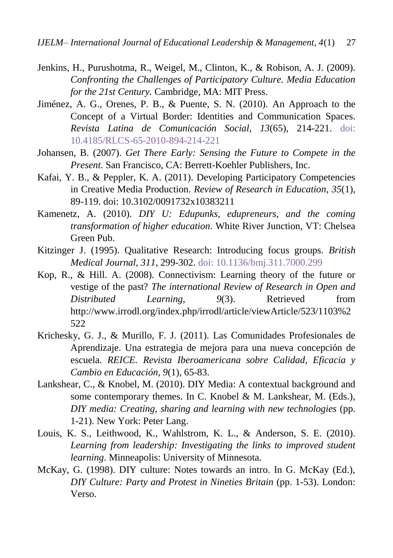- <span id="page-23-2"></span>Jenkins, H., Purushotma, R., Weigel, M., Clinton, K., & Robison, A. J. (2009). *Confronting the Challenges of Participatory Culture. Media Education for the 21st Century.* Cambridge, MA: MIT Press.
- <span id="page-23-3"></span>Jiménez, A. G., Orenes, P. B., & Puente, S. N. (2010). An Approach to the Concept of a Virtual Border: Identities and Communication Spaces. *Revista Latina de Comunicación Social*, *13*(65), 214-221. doi: [10.4185/RLCS-65-2010-894-214-221](http://dx.doi.org/10.4185/RLCS-65-2010-894-214-221)
- <span id="page-23-0"></span>Johansen, B. (2007). *Get There Early: Sensing the Future to Compete in the Present*. San Francisco, CA: Berrett-Koehler Publishers, Inc.
- <span id="page-23-5"></span>Kafai, Y. B., & Peppler, K. A. (2011). Developing Participatory Competencies in Creative Media Production. *Review of Research in Education*, *35*(1), 89-119. doi: 10.3102/0091732x10383211
- <span id="page-23-8"></span>Kamenetz, A. (2010). *DIY U: Edupunks, edupreneurs, and the coming transformation of higher education*. White River Junction, VT: Chelsea Green Pub.
- <span id="page-23-10"></span>Kitzinger J. (1995). Qualitative Research: Introducing focus groups. *British Medical Journal, 311*, 299-302. doi[: 10.1136/bmj.311.7000.299](http://dx.doi.org/10.1136/bmj.311.7000.299)
- <span id="page-23-9"></span>Kop, R., & Hill. A. (2008). Connectivism: Learning theory of the future or vestige of the past? *The international Review of Research in Open and Distributed Learning*, *9*(3). Retrieved from http://www.irrodl.org/index.php/irrodl/article/viewArticle/523/1103%2 522
- <span id="page-23-1"></span>Krichesky, G. J., & Murillo, F. J. (2011). Las Comunidades Profesionales de Aprendizaje. Una estrategia de mejora para una nueva concepción de escuela. *REICE. Revista Iberoamericana sobre Calidad, Eficacia y Cambio en Educación, 9*(1), 65-83.
- <span id="page-23-7"></span>Lankshear, C., & Knobel, M. (2010). DIY Media: A contextual background and some contemporary themes. In C. Knobel & M. Lankshear, M. (Eds.), *DIY media: Creating, sharing and learning with new technologies* (pp. 1-21). New York: Peter Lang.
- <span id="page-23-4"></span>Louis, K. S., Leithwood, K., Wahlstrom, K. L., & Anderson, S. E. (2010). *Learning from leadership: Investigating the links to improved student learning*. Minneapolis: University of Minnesota.
- <span id="page-23-6"></span>McKay, G. (1998). DIY culture: Notes towards an intro. In G. McKay (Ed.), *DIY Culture: Party and Protest in Nineties Britain* (pp. 1-53). London: Verso.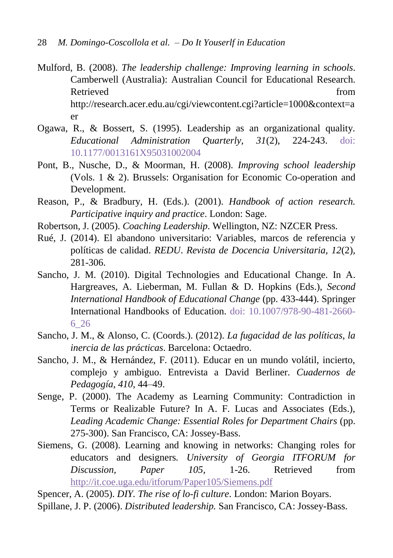- <span id="page-24-7"></span>Mulford, B. (2008). *The leadership challenge: Improving learning in schools*. Camberwell (Australia): Australian Council for Educational Research. Retrieved from the set of the set of the set of the set of the set of the set of the set of the set of the set of the set of the set of the set of the set of the set of the set of the set of the set of the set of the set o http://research.acer.edu.au/cgi/viewcontent.cgi?article=1000&context=a er
- <span id="page-24-4"></span>Ogawa, R., & Bossert, S. (1995). Leadership as an organizational quality. *Educational Administration Quarterly, 31*(2), 224-243. doi: [10.1177/0013161X95031002004](http://dx.doi.org/10.1177/0013161X95031002004)
- <span id="page-24-8"></span>Pont, B., Nusche, D., & Moorman, H. (2008). *Improving school leadership* (Vols. 1 & 2). Brussels: Organisation for Economic Co-operation and Development.
- <span id="page-24-9"></span>Reason, P., & Bradbury, H. (Eds.). (2001). *Handbook of action research. Participative inquiry and practice*. London: Sage.
- <span id="page-24-6"></span>Robertson, J. (2005). *Coaching Leadership*. Wellington, NZ: NZCER Press.
- <span id="page-24-2"></span>Rué, J. (2014). El abandono universitario: Variables, marcos de referencia y políticas de calidad. *REDU*. *Revista de Docencia Universitaria, 12*(2), 281-306.
- <span id="page-24-1"></span>Sancho, J. M. (2010). Digital Technologies and Educational Change. In A. Hargreaves, A. Lieberman, M. Fullan & D. Hopkins (Eds.), *Second International Handbook of Educational Change* (pp. 433-444). Springer International Handbooks of Education. doi: [10.1007/978-90-481-2660-](http://dx.doi.org/10.1007/978-90-481-2660-6_26) [6\\_26](http://dx.doi.org/10.1007/978-90-481-2660-6_26)
- <span id="page-24-3"></span>Sancho, J. M., & Alonso, C. (Coords.). (2012). *La fugacidad de las políticas, la inercia de las prácticas*. Barcelona: Octaedro.
- <span id="page-24-0"></span>Sancho, J. M., & Hernández, F. (2011). Educar en un mundo volátil, incierto, complejo y ambiguo. Entrevista a David Berliner. *Cuadernos de Pedagogía, 410*, 44–49.
- Senge, P. (2000). The Academy as Learning Community: Contradiction in Terms or Realizable Future? In A. F. Lucas and Associates (Eds.), *Leading Academic Change: Essential Roles for Department Chairs* (pp. 275-300). San Francisco, CA: Jossey-Bass.
- <span id="page-24-11"></span>Siemens, G. (2008). Learning and knowing in networks: Changing roles for educators and designers*. University of Georgia ITFORUM for Discussion, Paper 105*, 1-26. Retrieved from <http://it.coe.uga.edu/itforum/Paper105/Siemens.pdf>

<span id="page-24-10"></span>Spencer, A. (2005). *DIY. The rise of lo-fi culture*. London: Marion Boyars.

<span id="page-24-5"></span>Spillane, J. P. (2006). *Distributed leadership.* San Francisco, CA: Jossey-Bass.